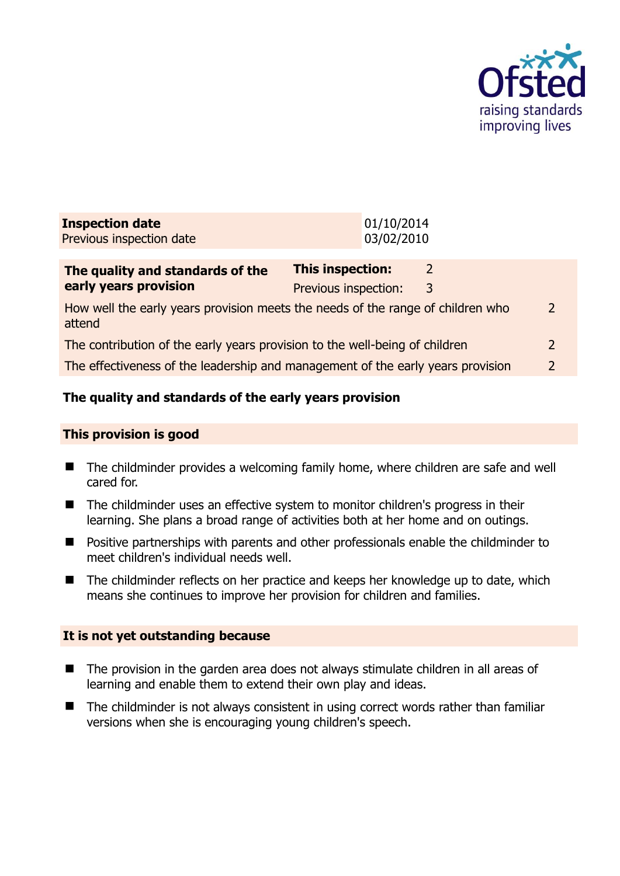

| <b>Inspection date</b><br>Previous inspection date                                        |                                                 | 01/10/2014<br>03/02/2010 |               |                |
|-------------------------------------------------------------------------------------------|-------------------------------------------------|--------------------------|---------------|----------------|
| The quality and standards of the<br>early years provision                                 | <b>This inspection:</b><br>Previous inspection: |                          | 2<br>3        |                |
| How well the early years provision meets the needs of the range of children who<br>attend |                                                 |                          |               | $\overline{2}$ |
| The contribution of the early years provision to the well-being of children               |                                                 |                          | $\mathcal{P}$ |                |
| The effectiveness of the leadership and management of the early years provision           |                                                 |                          | 2             |                |
|                                                                                           |                                                 |                          |               |                |

# **The quality and standards of the early years provision**

#### **This provision is good**

- The childminder provides a welcoming family home, where children are safe and well cared for.
- The childminder uses an effective system to monitor children's progress in their learning. She plans a broad range of activities both at her home and on outings.
- **Positive partnerships with parents and other professionals enable the childminder to** meet children's individual needs well.
- The childminder reflects on her practice and keeps her knowledge up to date, which means she continues to improve her provision for children and families.

#### **It is not yet outstanding because**

- The provision in the garden area does not always stimulate children in all areas of learning and enable them to extend their own play and ideas.
- The childminder is not always consistent in using correct words rather than familiar versions when she is encouraging young children's speech.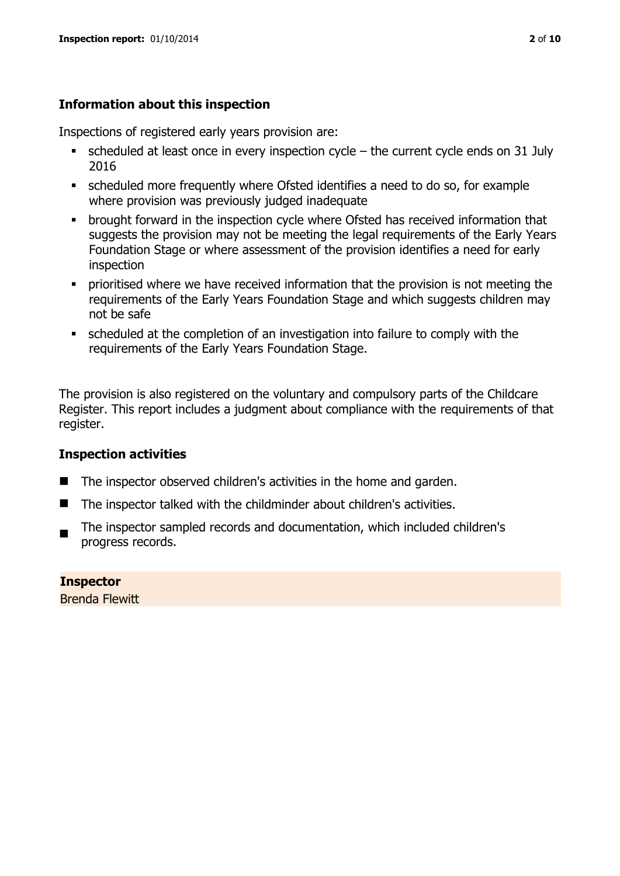# **Information about this inspection**

Inspections of registered early years provision are:

- $\bullet$  scheduled at least once in every inspection cycle the current cycle ends on 31 July 2016
- scheduled more frequently where Ofsted identifies a need to do so, for example where provision was previously judged inadequate
- **•** brought forward in the inspection cycle where Ofsted has received information that suggests the provision may not be meeting the legal requirements of the Early Years Foundation Stage or where assessment of the provision identifies a need for early inspection
- **•** prioritised where we have received information that the provision is not meeting the requirements of the Early Years Foundation Stage and which suggests children may not be safe
- scheduled at the completion of an investigation into failure to comply with the requirements of the Early Years Foundation Stage.

The provision is also registered on the voluntary and compulsory parts of the Childcare Register. This report includes a judgment about compliance with the requirements of that register.

# **Inspection activities**

- The inspector observed children's activities in the home and garden.
- $\blacksquare$  The inspector talked with the childminder about children's activities.
- The inspector sampled records and documentation, which included children's progress records.

**Inspector**  Brenda Flewitt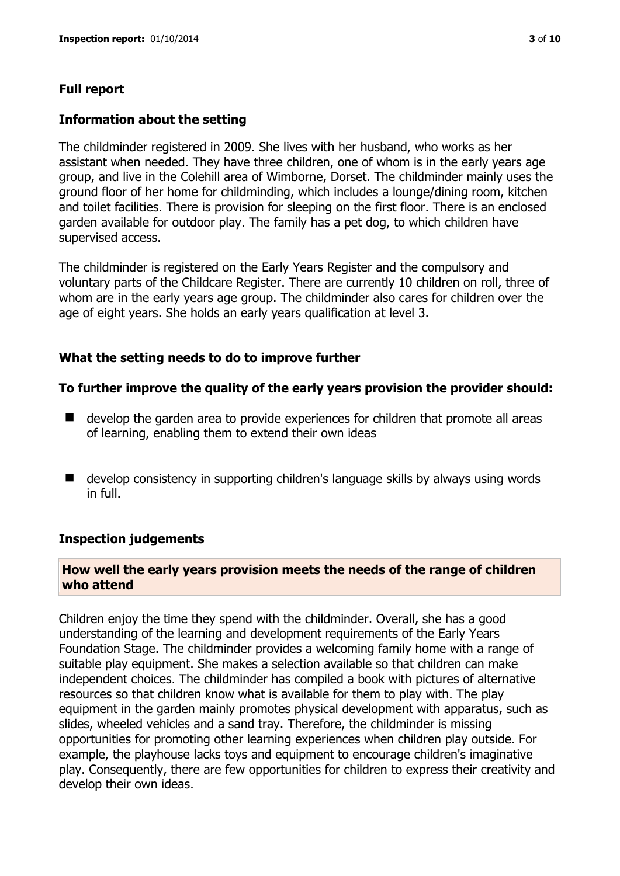# **Information about the setting**

The childminder registered in 2009. She lives with her husband, who works as her assistant when needed. They have three children, one of whom is in the early years age group, and live in the Colehill area of Wimborne, Dorset. The childminder mainly uses the ground floor of her home for childminding, which includes a lounge/dining room, kitchen and toilet facilities. There is provision for sleeping on the first floor. There is an enclosed garden available for outdoor play. The family has a pet dog, to which children have supervised access.

The childminder is registered on the Early Years Register and the compulsory and voluntary parts of the Childcare Register. There are currently 10 children on roll, three of whom are in the early years age group. The childminder also cares for children over the age of eight years. She holds an early years qualification at level 3.

# **What the setting needs to do to improve further**

# **To further improve the quality of the early years provision the provider should:**

- develop the garden area to provide experiences for children that promote all areas of learning, enabling them to extend their own ideas
- develop consistency in supporting children's language skills by always using words in full.

# **Inspection judgements**

# **How well the early years provision meets the needs of the range of children who attend**

Children enjoy the time they spend with the childminder. Overall, she has a good understanding of the learning and development requirements of the Early Years Foundation Stage. The childminder provides a welcoming family home with a range of suitable play equipment. She makes a selection available so that children can make independent choices. The childminder has compiled a book with pictures of alternative resources so that children know what is available for them to play with. The play equipment in the garden mainly promotes physical development with apparatus, such as slides, wheeled vehicles and a sand tray. Therefore, the childminder is missing opportunities for promoting other learning experiences when children play outside. For example, the playhouse lacks toys and equipment to encourage children's imaginative play. Consequently, there are few opportunities for children to express their creativity and develop their own ideas.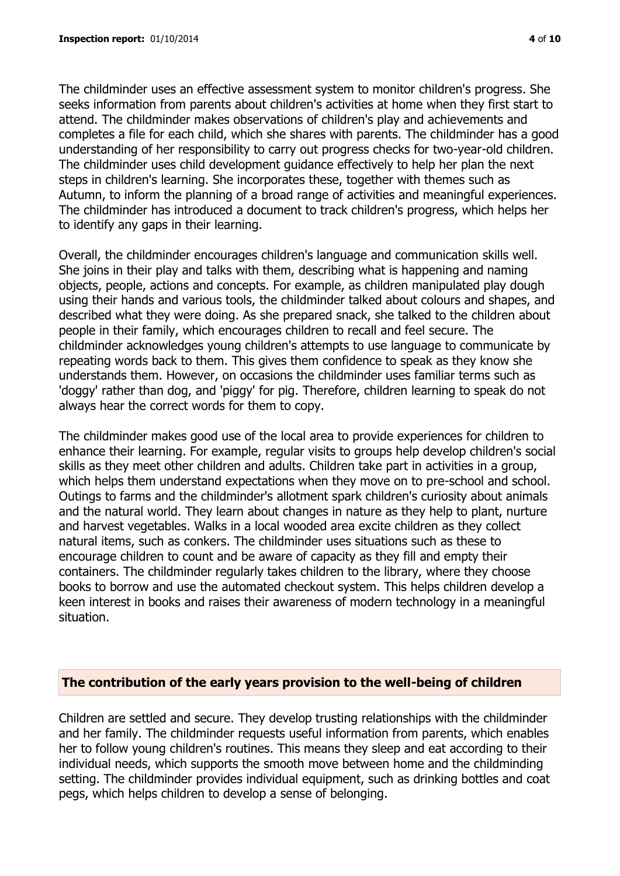The childminder uses an effective assessment system to monitor children's progress. She seeks information from parents about children's activities at home when they first start to attend. The childminder makes observations of children's play and achievements and completes a file for each child, which she shares with parents. The childminder has a good understanding of her responsibility to carry out progress checks for two-year-old children. The childminder uses child development guidance effectively to help her plan the next steps in children's learning. She incorporates these, together with themes such as Autumn, to inform the planning of a broad range of activities and meaningful experiences. The childminder has introduced a document to track children's progress, which helps her to identify any gaps in their learning.

Overall, the childminder encourages children's language and communication skills well. She joins in their play and talks with them, describing what is happening and naming objects, people, actions and concepts. For example, as children manipulated play dough using their hands and various tools, the childminder talked about colours and shapes, and described what they were doing. As she prepared snack, she talked to the children about people in their family, which encourages children to recall and feel secure. The childminder acknowledges young children's attempts to use language to communicate by repeating words back to them. This gives them confidence to speak as they know she understands them. However, on occasions the childminder uses familiar terms such as 'doggy' rather than dog, and 'piggy' for pig. Therefore, children learning to speak do not always hear the correct words for them to copy.

The childminder makes good use of the local area to provide experiences for children to enhance their learning. For example, regular visits to groups help develop children's social skills as they meet other children and adults. Children take part in activities in a group, which helps them understand expectations when they move on to pre-school and school. Outings to farms and the childminder's allotment spark children's curiosity about animals and the natural world. They learn about changes in nature as they help to plant, nurture and harvest vegetables. Walks in a local wooded area excite children as they collect natural items, such as conkers. The childminder uses situations such as these to encourage children to count and be aware of capacity as they fill and empty their containers. The childminder regularly takes children to the library, where they choose books to borrow and use the automated checkout system. This helps children develop a keen interest in books and raises their awareness of modern technology in a meaningful situation.

#### **The contribution of the early years provision to the well-being of children**

Children are settled and secure. They develop trusting relationships with the childminder and her family. The childminder requests useful information from parents, which enables her to follow young children's routines. This means they sleep and eat according to their individual needs, which supports the smooth move between home and the childminding setting. The childminder provides individual equipment, such as drinking bottles and coat pegs, which helps children to develop a sense of belonging.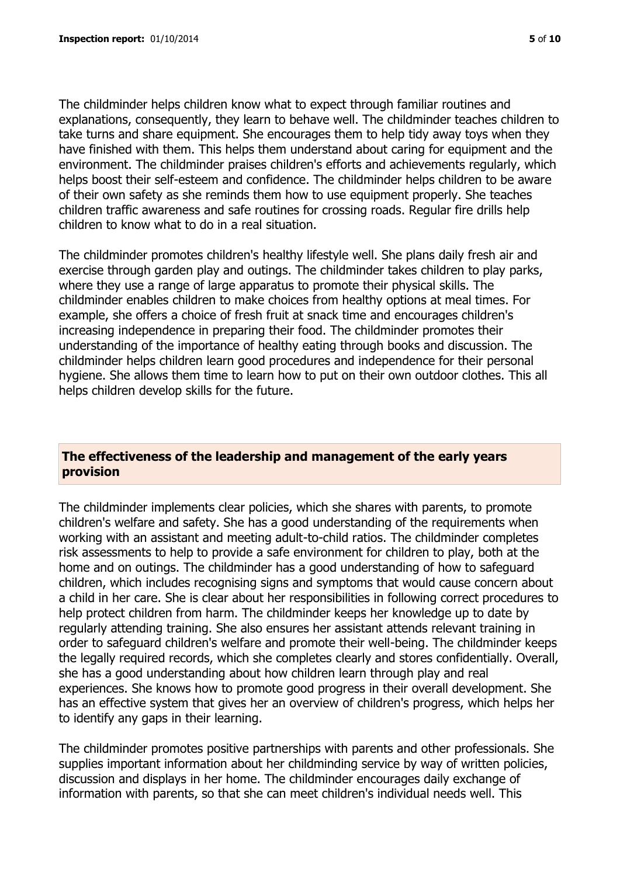The childminder helps children know what to expect through familiar routines and explanations, consequently, they learn to behave well. The childminder teaches children to take turns and share equipment. She encourages them to help tidy away toys when they have finished with them. This helps them understand about caring for equipment and the environment. The childminder praises children's efforts and achievements regularly, which helps boost their self-esteem and confidence. The childminder helps children to be aware of their own safety as she reminds them how to use equipment properly. She teaches children traffic awareness and safe routines for crossing roads. Regular fire drills help children to know what to do in a real situation.

The childminder promotes children's healthy lifestyle well. She plans daily fresh air and exercise through garden play and outings. The childminder takes children to play parks, where they use a range of large apparatus to promote their physical skills. The childminder enables children to make choices from healthy options at meal times. For example, she offers a choice of fresh fruit at snack time and encourages children's increasing independence in preparing their food. The childminder promotes their understanding of the importance of healthy eating through books and discussion. The childminder helps children learn good procedures and independence for their personal hygiene. She allows them time to learn how to put on their own outdoor clothes. This all helps children develop skills for the future.

### **The effectiveness of the leadership and management of the early years provision**

The childminder implements clear policies, which she shares with parents, to promote children's welfare and safety. She has a good understanding of the requirements when working with an assistant and meeting adult-to-child ratios. The childminder completes risk assessments to help to provide a safe environment for children to play, both at the home and on outings. The childminder has a good understanding of how to safeguard children, which includes recognising signs and symptoms that would cause concern about a child in her care. She is clear about her responsibilities in following correct procedures to help protect children from harm. The childminder keeps her knowledge up to date by regularly attending training. She also ensures her assistant attends relevant training in order to safeguard children's welfare and promote their well-being. The childminder keeps the legally required records, which she completes clearly and stores confidentially. Overall, she has a good understanding about how children learn through play and real experiences. She knows how to promote good progress in their overall development. She has an effective system that gives her an overview of children's progress, which helps her to identify any gaps in their learning.

The childminder promotes positive partnerships with parents and other professionals. She supplies important information about her childminding service by way of written policies, discussion and displays in her home. The childminder encourages daily exchange of information with parents, so that she can meet children's individual needs well. This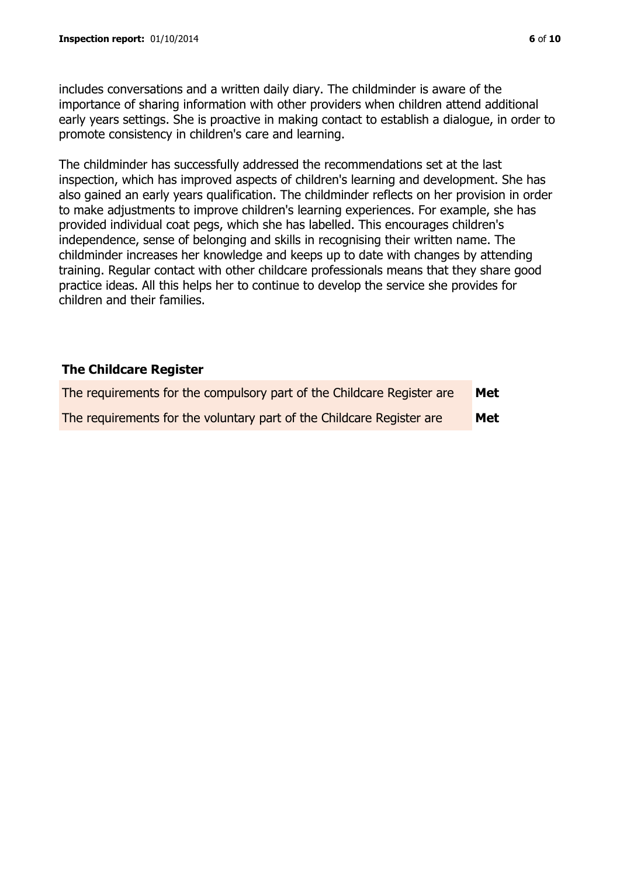includes conversations and a written daily diary. The childminder is aware of the importance of sharing information with other providers when children attend additional early years settings. She is proactive in making contact to establish a dialogue, in order to promote consistency in children's care and learning.

The childminder has successfully addressed the recommendations set at the last inspection, which has improved aspects of children's learning and development. She has also gained an early years qualification. The childminder reflects on her provision in order to make adjustments to improve children's learning experiences. For example, she has provided individual coat pegs, which she has labelled. This encourages children's independence, sense of belonging and skills in recognising their written name. The childminder increases her knowledge and keeps up to date with changes by attending training. Regular contact with other childcare professionals means that they share good practice ideas. All this helps her to continue to develop the service she provides for children and their families.

# **The Childcare Register**

| The requirements for the compulsory part of the Childcare Register are | Met        |
|------------------------------------------------------------------------|------------|
| The requirements for the voluntary part of the Childcare Register are  | <b>Met</b> |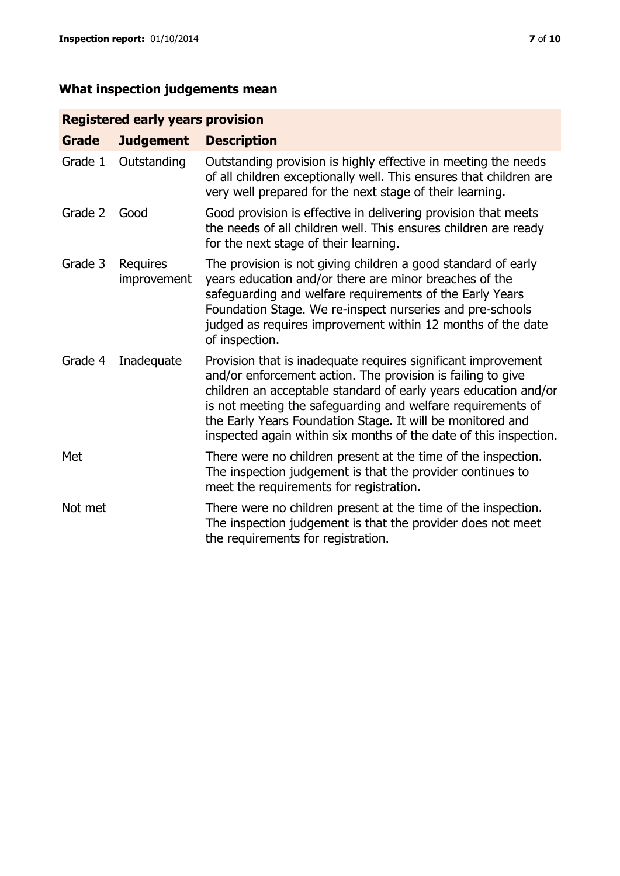# **Registered early years provision**

| Grade   | <b>Judgement</b>        | <b>Description</b>                                                                                                                                                                                                                                                                                                                                                                                |
|---------|-------------------------|---------------------------------------------------------------------------------------------------------------------------------------------------------------------------------------------------------------------------------------------------------------------------------------------------------------------------------------------------------------------------------------------------|
| Grade 1 | Outstanding             | Outstanding provision is highly effective in meeting the needs<br>of all children exceptionally well. This ensures that children are<br>very well prepared for the next stage of their learning.                                                                                                                                                                                                  |
| Grade 2 | Good                    | Good provision is effective in delivering provision that meets<br>the needs of all children well. This ensures children are ready<br>for the next stage of their learning.                                                                                                                                                                                                                        |
| Grade 3 | Requires<br>improvement | The provision is not giving children a good standard of early<br>years education and/or there are minor breaches of the<br>safeguarding and welfare requirements of the Early Years<br>Foundation Stage. We re-inspect nurseries and pre-schools<br>judged as requires improvement within 12 months of the date<br>of inspection.                                                                 |
| Grade 4 | Inadequate              | Provision that is inadequate requires significant improvement<br>and/or enforcement action. The provision is failing to give<br>children an acceptable standard of early years education and/or<br>is not meeting the safeguarding and welfare requirements of<br>the Early Years Foundation Stage. It will be monitored and<br>inspected again within six months of the date of this inspection. |
| Met     |                         | There were no children present at the time of the inspection.<br>The inspection judgement is that the provider continues to<br>meet the requirements for registration.                                                                                                                                                                                                                            |
| Not met |                         | There were no children present at the time of the inspection.<br>The inspection judgement is that the provider does not meet<br>the requirements for registration.                                                                                                                                                                                                                                |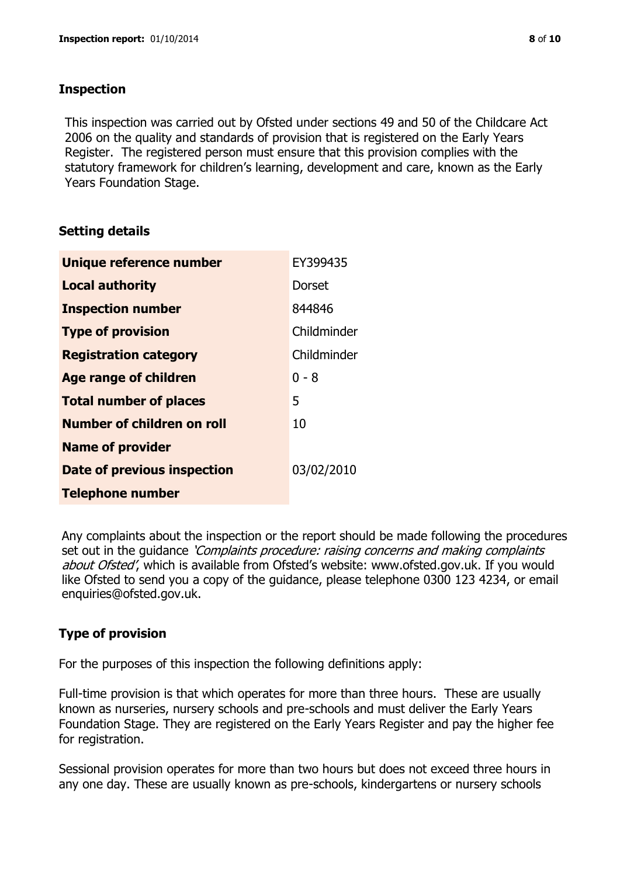### **Inspection**

This inspection was carried out by Ofsted under sections 49 and 50 of the Childcare Act 2006 on the quality and standards of provision that is registered on the Early Years Register. The registered person must ensure that this provision complies with the statutory framework for children's learning, development and care, known as the Early Years Foundation Stage.

# **Setting details**

| Unique reference number       | EY399435    |
|-------------------------------|-------------|
| <b>Local authority</b>        | Dorset      |
| <b>Inspection number</b>      | 844846      |
| <b>Type of provision</b>      | Childminder |
| <b>Registration category</b>  | Childminder |
| <b>Age range of children</b>  | $0 - 8$     |
| <b>Total number of places</b> | 5           |
| Number of children on roll    | 10          |
| <b>Name of provider</b>       |             |
| Date of previous inspection   | 03/02/2010  |
| <b>Telephone number</b>       |             |

Any complaints about the inspection or the report should be made following the procedures set out in the guidance *'Complaints procedure: raising concerns and making complaints* about Ofsted', which is available from Ofsted's website: www.ofsted.gov.uk. If you would like Ofsted to send you a copy of the guidance, please telephone 0300 123 4234, or email enquiries@ofsted.gov.uk.

# **Type of provision**

For the purposes of this inspection the following definitions apply:

Full-time provision is that which operates for more than three hours. These are usually known as nurseries, nursery schools and pre-schools and must deliver the Early Years Foundation Stage. They are registered on the Early Years Register and pay the higher fee for registration.

Sessional provision operates for more than two hours but does not exceed three hours in any one day. These are usually known as pre-schools, kindergartens or nursery schools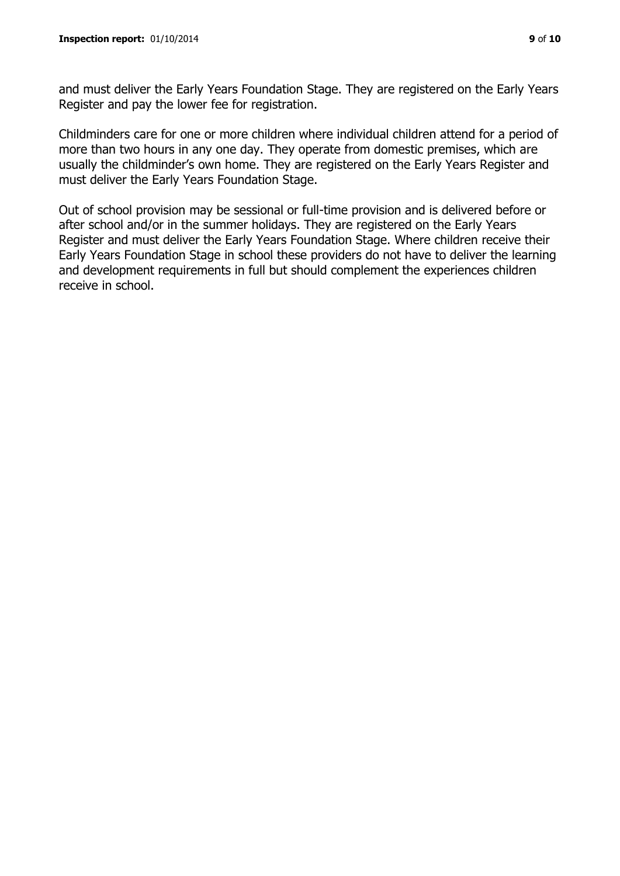and must deliver the Early Years Foundation Stage. They are registered on the Early Years Register and pay the lower fee for registration.

Childminders care for one or more children where individual children attend for a period of more than two hours in any one day. They operate from domestic premises, which are usually the childminder's own home. They are registered on the Early Years Register and must deliver the Early Years Foundation Stage.

Out of school provision may be sessional or full-time provision and is delivered before or after school and/or in the summer holidays. They are registered on the Early Years Register and must deliver the Early Years Foundation Stage. Where children receive their Early Years Foundation Stage in school these providers do not have to deliver the learning and development requirements in full but should complement the experiences children receive in school.